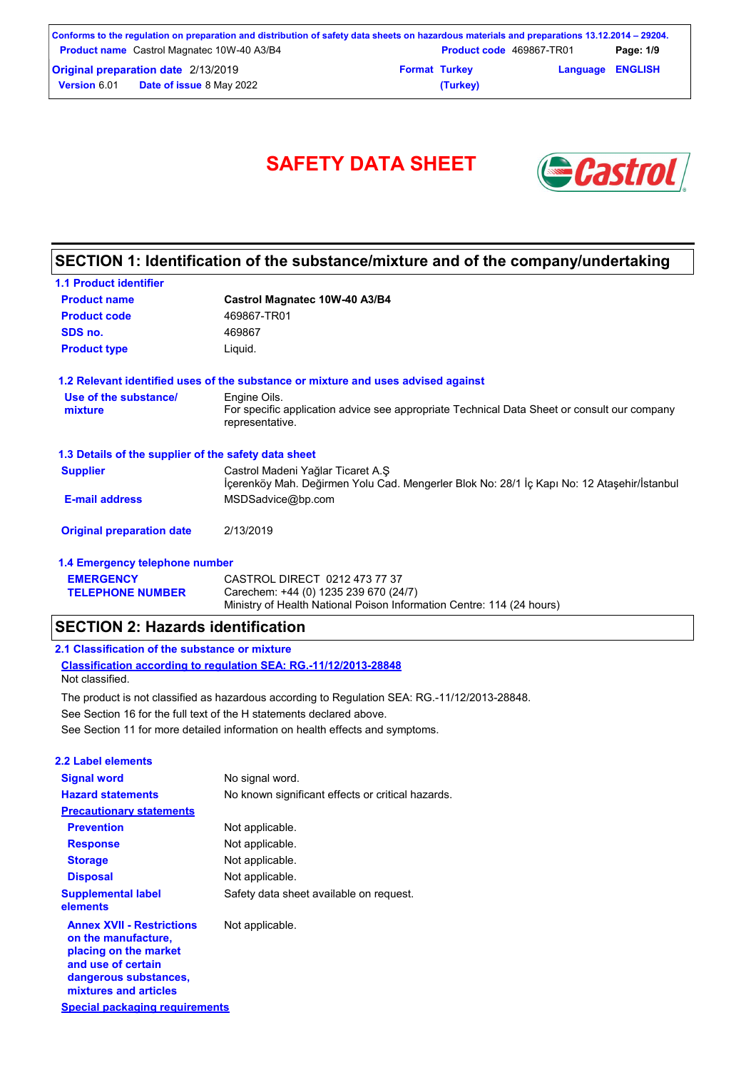| Conforms to the regulation on preparation and distribution of safety data sheets on hazardous materials and preparations 13.12.2014 – 29204. |  |                                 |                         |           |
|----------------------------------------------------------------------------------------------------------------------------------------------|--|---------------------------------|-------------------------|-----------|
| <b>Product name</b> Castrol Magnatec 10W-40 A3/B4                                                                                            |  | <b>Product code</b> 469867-TR01 |                         | Page: 1/9 |
| <b>Original preparation date 2/13/2019</b>                                                                                                   |  | <b>Format Turkey</b>            | <b>Language ENGLISH</b> |           |
| <b>Date of issue 8 May 2022</b><br><b>Version 6.01</b>                                                                                       |  | (Turkey)                        |                         |           |

# SAFETY DATA SHEET **& Castro**



## **SECTION 1: Identification of the substance/mixture and of the company/undertaking**

| <b>1.1 Product identifier</b>                        |                                                                                                                                 |
|------------------------------------------------------|---------------------------------------------------------------------------------------------------------------------------------|
| <b>Product name</b>                                  | Castrol Magnatec 10W-40 A3/B4                                                                                                   |
| <b>Product code</b>                                  | 469867-TR01                                                                                                                     |
| SDS no.                                              | 469867                                                                                                                          |
| <b>Product type</b>                                  | Liquid.                                                                                                                         |
|                                                      | 1.2 Relevant identified uses of the substance or mixture and uses advised against                                               |
| Use of the substance/                                | Engine Oils.                                                                                                                    |
| mixture                                              | For specific application advice see appropriate Technical Data Sheet or consult our company<br>representative.                  |
| 1.3 Details of the supplier of the safety data sheet |                                                                                                                                 |
| <b>Supplier</b>                                      | Castrol Madeni Yağlar Ticaret A.Ş<br>İçerenköy Mah. Değirmen Yolu Cad. Mengerler Blok No: 28/1 İç Kapı No: 12 Ataşehir/İstanbul |
| <b>E-mail address</b>                                | MSDSadvice@bp.com                                                                                                               |
| <b>Original preparation date</b>                     | 2/13/2019                                                                                                                       |
| 1.4 Emergency telephone number                       |                                                                                                                                 |
| <b>EMERGENCY</b>                                     | CASTROL DIRECT 0212 473 77 37                                                                                                   |
| <b>TELEPHONE NUMBER</b>                              | Carechem: +44 (0) 1235 239 670 (24/7)                                                                                           |

Ministry of Health National Poison Information Centre: 114 (24 hours)

Carechem: +44 (0) 1235 239 670 (24/7)

### **SECTION 2: Hazards identification**

### **2.1 Classification of the substance or mixture**

**Classification according to regulation SEA: RG.-11/12/2013-28848** Not classified.

See Section 11 for more detailed information on health effects and symptoms. See Section 16 for the full text of the H statements declared above. The product is not classified as hazardous according to Regulation SEA: RG.-11/12/2013-28848.

| 2.2 Label elements                                                                                                                                       |                                                   |
|----------------------------------------------------------------------------------------------------------------------------------------------------------|---------------------------------------------------|
| <b>Signal word</b>                                                                                                                                       | No signal word.                                   |
| <b>Hazard statements</b>                                                                                                                                 | No known significant effects or critical hazards. |
| <b>Precautionary statements</b>                                                                                                                          |                                                   |
| <b>Prevention</b>                                                                                                                                        | Not applicable.                                   |
| <b>Response</b>                                                                                                                                          | Not applicable.                                   |
| <b>Storage</b>                                                                                                                                           | Not applicable.                                   |
| <b>Disposal</b>                                                                                                                                          | Not applicable.                                   |
| <b>Supplemental label</b><br>elements                                                                                                                    | Safety data sheet available on request.           |
| <b>Annex XVII - Restrictions</b><br>on the manufacture,<br>placing on the market<br>and use of certain<br>dangerous substances,<br>mixtures and articles | Not applicable.                                   |
| Special packaging requirements                                                                                                                           |                                                   |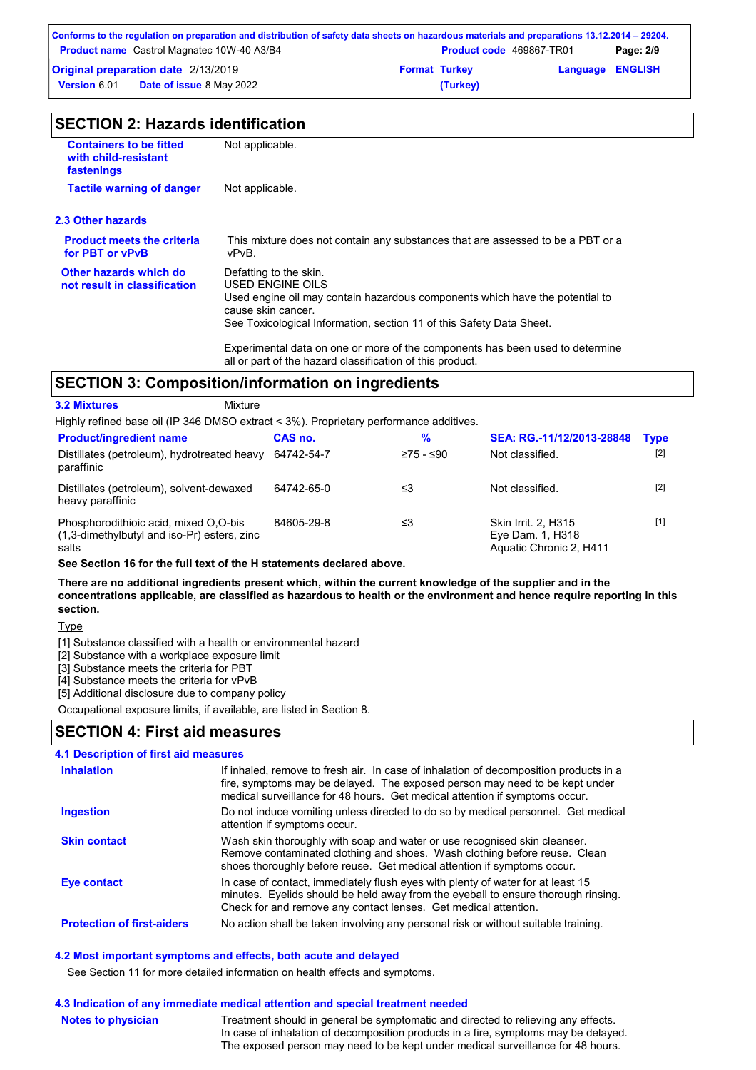|                     | Conforms to the regulation on preparation and distribution of safety data sheets on hazardous materials and preparations 13.12.2014 – 29204. |                      |                                 |                         |           |
|---------------------|----------------------------------------------------------------------------------------------------------------------------------------------|----------------------|---------------------------------|-------------------------|-----------|
|                     | <b>Product name</b> Castrol Magnatec 10W-40 A3/B4                                                                                            |                      | <b>Product code</b> 469867-TR01 |                         | Page: 2/9 |
|                     | <b>Original preparation date 2/13/2019</b>                                                                                                   | <b>Format Turkey</b> |                                 | <b>Language ENGLISH</b> |           |
| <b>Version 6.01</b> | <b>Date of issue 8 May 2022</b>                                                                                                              |                      | (Turkey)                        |                         |           |

| <b>SECTION 2: Hazards identification</b> |  |
|------------------------------------------|--|
|------------------------------------------|--|

| <b>Containers to be fitted</b><br>with child-resistant<br>fastenings | Not applicable.                                                                                                                                                                                                          |
|----------------------------------------------------------------------|--------------------------------------------------------------------------------------------------------------------------------------------------------------------------------------------------------------------------|
| <b>Tactile warning of danger</b>                                     | Not applicable.                                                                                                                                                                                                          |
| 2.3 Other hazards                                                    |                                                                                                                                                                                                                          |
| <b>Product meets the criteria</b><br>for PBT or vPvB                 | This mixture does not contain any substances that are assessed to be a PBT or a<br>vPvB.                                                                                                                                 |
| Other hazards which do<br>not result in classification               | Defatting to the skin.<br>USED ENGINE OILS<br>Used engine oil may contain hazardous components which have the potential to<br>cause skin cancer.<br>See Toxicological Information, section 11 of this Safety Data Sheet. |
|                                                                      | Experimental data on one or more of the components has been used to determine<br>all or part of the hazard classification of this product.                                                                               |

## **SECTION 3: Composition/information on ingredients**

| <u>ULU NUN J. UUMPUSINUMMINUMMINUM UN MIGHEMEMIS</u>                                             |            |             |                                                                    |             |
|--------------------------------------------------------------------------------------------------|------------|-------------|--------------------------------------------------------------------|-------------|
| <b>3.2 Mixtures</b><br>Mixture                                                                   |            |             |                                                                    |             |
| Highly refined base oil (IP 346 DMSO extract < 3%). Proprietary performance additives.           |            |             |                                                                    |             |
| <b>Product/ingredient name</b>                                                                   | CAS no.    | %           | SEA: RG.-11/12/2013-28848                                          | <b>Type</b> |
| Distillates (petroleum), hydrotreated heavy<br>paraffinic                                        | 64742-54-7 | $≥75 - ≤90$ | Not classified.                                                    | $[2]$       |
| Distillates (petroleum), solvent-dewaxed<br>heavy paraffinic                                     | 64742-65-0 | ≤3          | Not classified.                                                    | $[2]$       |
| Phosphorodithioic acid, mixed O.O-bis<br>$(1,3$ -dimethylbutyl and iso-Pr) esters, zinc<br>salts | 84605-29-8 | ≤3          | Skin Irrit. 2, H315<br>Eye Dam. 1, H318<br>Aquatic Chronic 2, H411 | $[1]$       |

**See Section 16 for the full text of the H statements declared above.**

**There are no additional ingredients present which, within the current knowledge of the supplier and in the concentrations applicable, are classified as hazardous to health or the environment and hence require reporting in this section.**

**Type** 

[1] Substance classified with a health or environmental hazard

[2] Substance with a workplace exposure limit

[3] Substance meets the criteria for PBT

[4] Substance meets the criteria for vPvB

[5] Additional disclosure due to company policy

Occupational exposure limits, if available, are listed in Section 8.

### **SECTION 4: First aid measures**

| 4.1 Description of first aid measures |                                                                                                                                                                                                                                                     |
|---------------------------------------|-----------------------------------------------------------------------------------------------------------------------------------------------------------------------------------------------------------------------------------------------------|
| <b>Inhalation</b>                     | If inhaled, remove to fresh air. In case of inhalation of decomposition products in a<br>fire, symptoms may be delayed. The exposed person may need to be kept under<br>medical surveillance for 48 hours. Get medical attention if symptoms occur. |
| <b>Ingestion</b>                      | Do not induce vomiting unless directed to do so by medical personnel. Get medical<br>attention if symptoms occur.                                                                                                                                   |
| <b>Skin contact</b>                   | Wash skin thoroughly with soap and water or use recognised skin cleanser.<br>Remove contaminated clothing and shoes. Wash clothing before reuse. Clean<br>shoes thoroughly before reuse. Get medical attention if symptoms occur.                   |
| Eye contact                           | In case of contact, immediately flush eyes with plenty of water for at least 15<br>minutes. Eyelids should be held away from the eyeball to ensure thorough rinsing.<br>Check for and remove any contact lenses. Get medical attention.             |
| <b>Protection of first-aiders</b>     | No action shall be taken involving any personal risk or without suitable training.                                                                                                                                                                  |

### **4.2 Most important symptoms and effects, both acute and delayed**

See Section 11 for more detailed information on health effects and symptoms.

| 4.3 Indication of any immediate medical attention and special treatment needed |                                                                                                                                                                                                                                                             |  |  |
|--------------------------------------------------------------------------------|-------------------------------------------------------------------------------------------------------------------------------------------------------------------------------------------------------------------------------------------------------------|--|--|
| <b>Notes to physician</b>                                                      | Treatment should in general be symptomatic and directed to relieving any effects.<br>In case of inhalation of decomposition products in a fire, symptoms may be delayed.<br>The exposed person may need to be kept under medical surveillance for 48 hours. |  |  |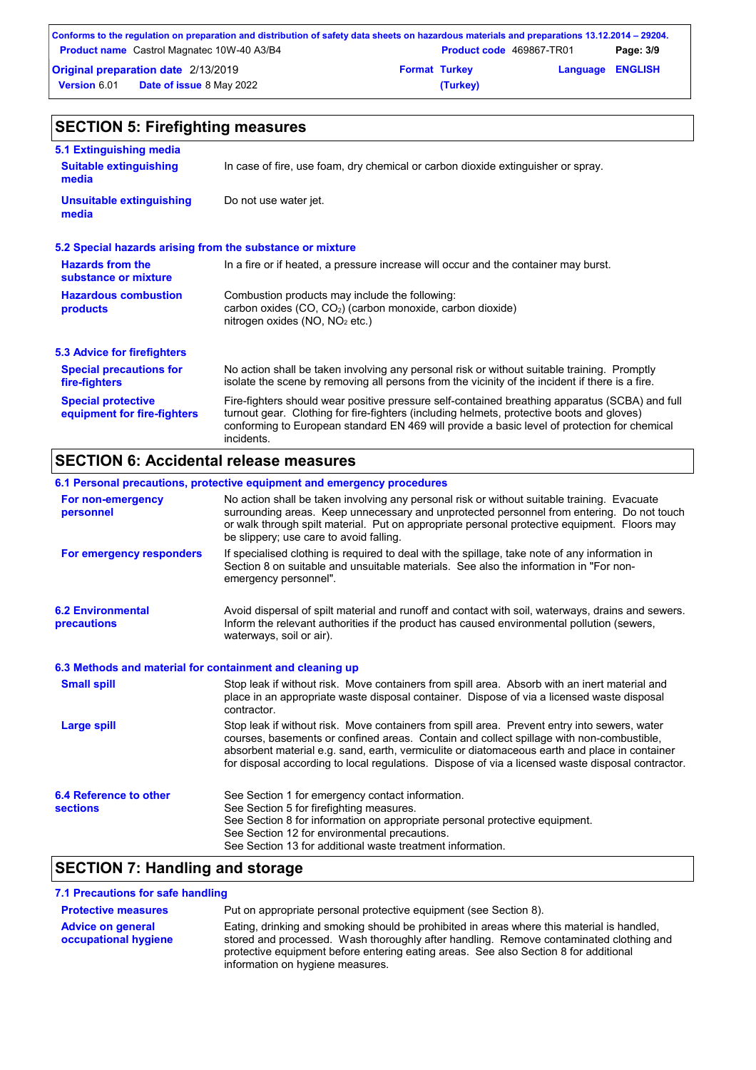|                     | Conforms to the regulation on preparation and distribution of safety data sheets on hazardous materials and preparations 13.12.2014 – 29204. |                      |                                 |                         |           |
|---------------------|----------------------------------------------------------------------------------------------------------------------------------------------|----------------------|---------------------------------|-------------------------|-----------|
|                     | <b>Product name</b> Castrol Magnatec 10W-40 A3/B4                                                                                            |                      | <b>Product code</b> 469867-TR01 |                         | Page: 3/9 |
|                     | <b>Original preparation date 2/13/2019</b>                                                                                                   | <b>Format Turkey</b> |                                 | <b>Language ENGLISH</b> |           |
| <b>Version 6.01</b> | <b>Date of issue 8 May 2022</b>                                                                                                              |                      | (Turkey)                        |                         |           |

| <b>SECTION 5: Firefighting measures</b>                   |                                                                                                                                                                                                                                                                                                           |  |  |
|-----------------------------------------------------------|-----------------------------------------------------------------------------------------------------------------------------------------------------------------------------------------------------------------------------------------------------------------------------------------------------------|--|--|
| 5.1 Extinguishing media                                   |                                                                                                                                                                                                                                                                                                           |  |  |
| <b>Suitable extinguishing</b><br>media                    | In case of fire, use foam, dry chemical or carbon dioxide extinguisher or spray.                                                                                                                                                                                                                          |  |  |
| <b>Unsuitable extinguishing</b><br>media                  | Do not use water jet.                                                                                                                                                                                                                                                                                     |  |  |
| 5.2 Special hazards arising from the substance or mixture |                                                                                                                                                                                                                                                                                                           |  |  |
| <b>Hazards from the</b><br>substance or mixture           | In a fire or if heated, a pressure increase will occur and the container may burst.                                                                                                                                                                                                                       |  |  |
| <b>Hazardous combustion</b><br>products                   | Combustion products may include the following:<br>carbon oxides $(CO, CO2)$ (carbon monoxide, carbon dioxide)<br>nitrogen oxides (NO, NO <sub>2</sub> etc.)                                                                                                                                               |  |  |
| 5.3 Advice for firefighters                               |                                                                                                                                                                                                                                                                                                           |  |  |
| <b>Special precautions for</b><br>fire-fighters           | No action shall be taken involving any personal risk or without suitable training. Promptly<br>isolate the scene by removing all persons from the vicinity of the incident if there is a fire.                                                                                                            |  |  |
| <b>Special protective</b><br>equipment for fire-fighters  | Fire-fighters should wear positive pressure self-contained breathing apparatus (SCBA) and full<br>turnout gear. Clothing for fire-fighters (including helmets, protective boots and gloves)<br>conforming to European standard EN 469 will provide a basic level of protection for chemical<br>incidents. |  |  |

# **SECTION 6: Accidental release measures**

|                                                          | 6.1 Personal precautions, protective equipment and emergency procedures                                                                                                                                                                                                                                                                                                                        |
|----------------------------------------------------------|------------------------------------------------------------------------------------------------------------------------------------------------------------------------------------------------------------------------------------------------------------------------------------------------------------------------------------------------------------------------------------------------|
| For non-emergency<br>personnel                           | No action shall be taken involving any personal risk or without suitable training. Evacuate<br>surrounding areas. Keep unnecessary and unprotected personnel from entering. Do not touch<br>or walk through spilt material. Put on appropriate personal protective equipment. Floors may<br>be slippery; use care to avoid falling.                                                            |
| For emergency responders                                 | If specialised clothing is required to deal with the spillage, take note of any information in<br>Section 8 on suitable and unsuitable materials. See also the information in "For non-<br>emergency personnel".                                                                                                                                                                               |
| <b>6.2 Environmental</b><br>precautions                  | Avoid dispersal of spilt material and runoff and contact with soil, waterways, drains and sewers.<br>Inform the relevant authorities if the product has caused environmental pollution (sewers,<br>waterways, soil or air).                                                                                                                                                                    |
| 6.3 Methods and material for containment and cleaning up |                                                                                                                                                                                                                                                                                                                                                                                                |
| <b>Small spill</b>                                       | Stop leak if without risk. Move containers from spill area. Absorb with an inert material and<br>place in an appropriate waste disposal container. Dispose of via a licensed waste disposal<br>contractor.                                                                                                                                                                                     |
| Large spill                                              | Stop leak if without risk. Move containers from spill area. Prevent entry into sewers, water<br>courses, basements or confined areas. Contain and collect spillage with non-combustible,<br>absorbent material e.g. sand, earth, vermiculite or diatomaceous earth and place in container<br>for disposal according to local regulations. Dispose of via a licensed waste disposal contractor. |
| 6.4 Reference to other<br><b>sections</b>                | See Section 1 for emergency contact information.<br>See Section 5 for firefighting measures.<br>See Section 8 for information on appropriate personal protective equipment.<br>See Section 12 for environmental precautions.<br>See Section 13 for additional waste treatment information.                                                                                                     |

# **SECTION 7: Handling and storage**

### **7.1 Precautions for safe handling**

| <b>Protective measures</b> | Put on appropriate personal protective equipment (see Section 8).                                                                                                                                                  |
|----------------------------|--------------------------------------------------------------------------------------------------------------------------------------------------------------------------------------------------------------------|
| <b>Advice on general</b>   | Eating, drinking and smoking should be prohibited in areas where this material is handled,                                                                                                                         |
| occupational hygiene       | stored and processed. Wash thoroughly after handling. Remove contaminated clothing and<br>protective equipment before entering eating areas. See also Section 8 for additional<br>information on hygiene measures. |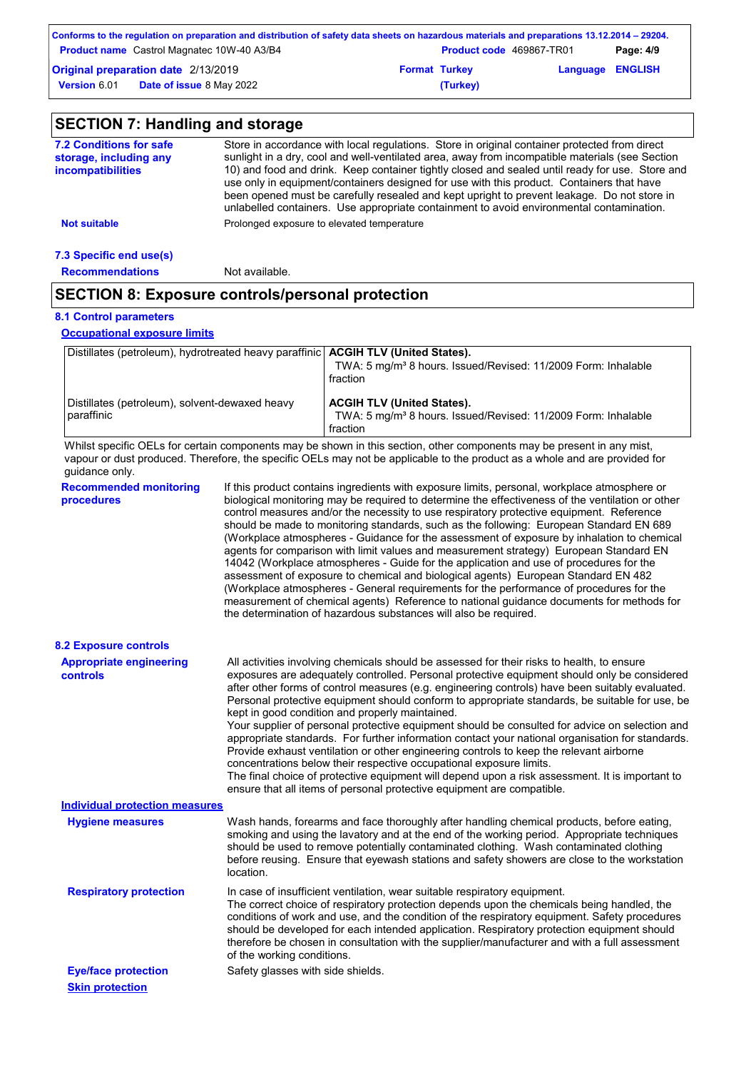|                     | Conforms to the regulation on preparation and distribution of safety data sheets on hazardous materials and preparations 13.12.2014 – 29204. |                                 |                         |           |
|---------------------|----------------------------------------------------------------------------------------------------------------------------------------------|---------------------------------|-------------------------|-----------|
|                     | <b>Product name</b> Castrol Magnatec 10W-40 A3/B4                                                                                            | <b>Product code</b> 469867-TR01 |                         | Page: 4/9 |
|                     | Original preparation date 2/13/2019                                                                                                          | <b>Format Turkey</b>            | <b>Language ENGLISH</b> |           |
| <b>Version 6.01</b> | <b>Date of issue 8 May 2022</b>                                                                                                              | (Turkey)                        |                         |           |

| <b>7.2 Conditions for safe</b><br>storage, including any | Store in accordance with local regulations. Store in original container protected from direct<br>sunlight in a dry, cool and well-ventilated area, away from incompatible materials (see Section                                                                                                                                                                                        |
|----------------------------------------------------------|-----------------------------------------------------------------------------------------------------------------------------------------------------------------------------------------------------------------------------------------------------------------------------------------------------------------------------------------------------------------------------------------|
| <i>incompatibilities</i>                                 | 10) and food and drink. Keep container tightly closed and sealed until ready for use. Store and<br>use only in equipment/containers designed for use with this product. Containers that have<br>been opened must be carefully resealed and kept upright to prevent leakage. Do not store in<br>unlabelled containers. Use appropriate containment to avoid environmental contamination. |
| <b>Not suitable</b>                                      | Prolonged exposure to elevated temperature                                                                                                                                                                                                                                                                                                                                              |

**Recommendations** Not available.

## **SECTION 8: Exposure controls/personal protection**

## **8.1 Control parameters**

**Occupational exposure limits**

| Distillates (petroleum), hydrotreated heavy paraffinic   ACGIH TLV (United States). | TWA: 5 mg/m <sup>3</sup> 8 hours. Issued/Revised: 11/2009 Form: Inhalable<br>fraction                                      |
|-------------------------------------------------------------------------------------|----------------------------------------------------------------------------------------------------------------------------|
| Distillates (petroleum), solvent-dewaxed heavy<br>paraffinic                        | <b>ACGIH TLV (United States).</b><br>TWA: 5 mg/m <sup>3</sup> 8 hours. Issued/Revised: 11/2009 Form: Inhalable<br>fraction |

Whilst specific OELs for certain components may be shown in this section, other components may be present in any mist, vapour or dust produced. Therefore, the specific OELs may not be applicable to the product as a whole and are provided for guidance only.

| guidance only.                                    |                                                                                                                                                                                                                                                                                                                                                                                                                                                                                                                                                                                                                                                                                                                                                                                                                                                                                                                                                                                                                            |
|---------------------------------------------------|----------------------------------------------------------------------------------------------------------------------------------------------------------------------------------------------------------------------------------------------------------------------------------------------------------------------------------------------------------------------------------------------------------------------------------------------------------------------------------------------------------------------------------------------------------------------------------------------------------------------------------------------------------------------------------------------------------------------------------------------------------------------------------------------------------------------------------------------------------------------------------------------------------------------------------------------------------------------------------------------------------------------------|
| <b>Recommended monitoring</b><br>procedures       | If this product contains ingredients with exposure limits, personal, workplace atmosphere or<br>biological monitoring may be required to determine the effectiveness of the ventilation or other<br>control measures and/or the necessity to use respiratory protective equipment. Reference<br>should be made to monitoring standards, such as the following: European Standard EN 689<br>(Workplace atmospheres - Guidance for the assessment of exposure by inhalation to chemical<br>agents for comparison with limit values and measurement strategy) European Standard EN<br>14042 (Workplace atmospheres - Guide for the application and use of procedures for the<br>assessment of exposure to chemical and biological agents) European Standard EN 482<br>(Workplace atmospheres - General requirements for the performance of procedures for the<br>measurement of chemical agents) Reference to national guidance documents for methods for<br>the determination of hazardous substances will also be required. |
| <b>8.2 Exposure controls</b>                      |                                                                                                                                                                                                                                                                                                                                                                                                                                                                                                                                                                                                                                                                                                                                                                                                                                                                                                                                                                                                                            |
| <b>Appropriate engineering</b><br><b>controls</b> | All activities involving chemicals should be assessed for their risks to health, to ensure<br>exposures are adequately controlled. Personal protective equipment should only be considered<br>after other forms of control measures (e.g. engineering controls) have been suitably evaluated.<br>Personal protective equipment should conform to appropriate standards, be suitable for use, be<br>kept in good condition and properly maintained.<br>Your supplier of personal protective equipment should be consulted for advice on selection and<br>appropriate standards. For further information contact your national organisation for standards.<br>Provide exhaust ventilation or other engineering controls to keep the relevant airborne<br>concentrations below their respective occupational exposure limits.<br>The final choice of protective equipment will depend upon a risk assessment. It is important to<br>ensure that all items of personal protective equipment are compatible.                    |
| <b>Individual protection measures</b>             |                                                                                                                                                                                                                                                                                                                                                                                                                                                                                                                                                                                                                                                                                                                                                                                                                                                                                                                                                                                                                            |
| <b>Hygiene measures</b>                           | Wash hands, forearms and face thoroughly after handling chemical products, before eating,<br>smoking and using the lavatory and at the end of the working period. Appropriate techniques<br>should be used to remove potentially contaminated clothing. Wash contaminated clothing<br>before reusing. Ensure that eyewash stations and safety showers are close to the workstation<br>location.                                                                                                                                                                                                                                                                                                                                                                                                                                                                                                                                                                                                                            |
| <b>Respiratory protection</b>                     | In case of insufficient ventilation, wear suitable respiratory equipment.<br>The correct choice of respiratory protection depends upon the chemicals being handled, the<br>conditions of work and use, and the condition of the respiratory equipment. Safety procedures<br>should be developed for each intended application. Respiratory protection equipment should<br>therefore be chosen in consultation with the supplier/manufacturer and with a full assessment<br>of the working conditions.                                                                                                                                                                                                                                                                                                                                                                                                                                                                                                                      |
| <b>Eye/face protection</b>                        | Safety glasses with side shields.                                                                                                                                                                                                                                                                                                                                                                                                                                                                                                                                                                                                                                                                                                                                                                                                                                                                                                                                                                                          |
| <b>Skin protection</b>                            |                                                                                                                                                                                                                                                                                                                                                                                                                                                                                                                                                                                                                                                                                                                                                                                                                                                                                                                                                                                                                            |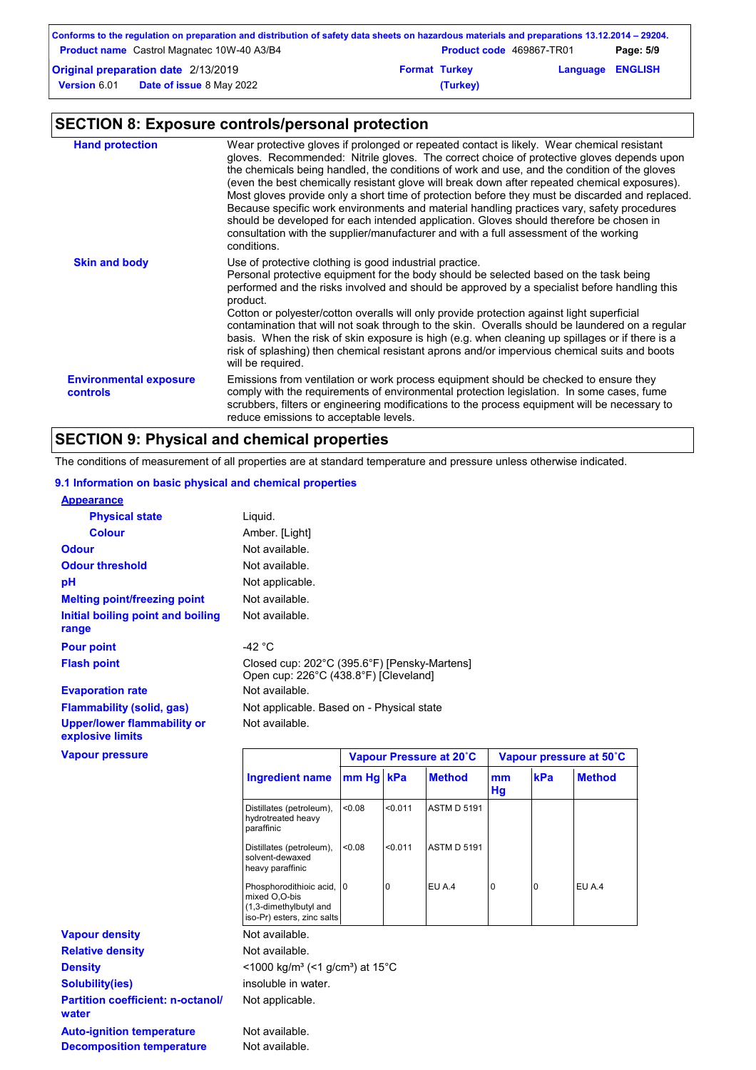|                     | Conforms to the regulation on preparation and distribution of safety data sheets on hazardous materials and preparations 13.12.2014 – 29204. |                      |                                 |                         |           |
|---------------------|----------------------------------------------------------------------------------------------------------------------------------------------|----------------------|---------------------------------|-------------------------|-----------|
|                     | <b>Product name</b> Castrol Magnatec 10W-40 A3/B4                                                                                            |                      | <b>Product code</b> 469867-TR01 |                         | Page: 5/9 |
|                     | Original preparation date 2/13/2019                                                                                                          | <b>Format Turkey</b> |                                 | <b>Language ENGLISH</b> |           |
| <b>Version 6.01</b> | <b>Date of issue</b> 8 May 2022                                                                                                              |                      | (Turkey)                        |                         |           |

# **SECTION 8: Exposure controls/personal protection**

| <b>Hand protection</b>                           | Wear protective gloves if prolonged or repeated contact is likely. Wear chemical resistant<br>gloves. Recommended: Nitrile gloves. The correct choice of protective gloves depends upon<br>the chemicals being handled, the conditions of work and use, and the condition of the gloves<br>(even the best chemically resistant glove will break down after repeated chemical exposures).<br>Most gloves provide only a short time of protection before they must be discarded and replaced.<br>Because specific work environments and material handling practices vary, safety procedures<br>should be developed for each intended application. Gloves should therefore be chosen in<br>consultation with the supplier/manufacturer and with a full assessment of the working<br>conditions. |
|--------------------------------------------------|----------------------------------------------------------------------------------------------------------------------------------------------------------------------------------------------------------------------------------------------------------------------------------------------------------------------------------------------------------------------------------------------------------------------------------------------------------------------------------------------------------------------------------------------------------------------------------------------------------------------------------------------------------------------------------------------------------------------------------------------------------------------------------------------|
| <b>Skin and body</b>                             | Use of protective clothing is good industrial practice.<br>Personal protective equipment for the body should be selected based on the task being<br>performed and the risks involved and should be approved by a specialist before handling this<br>product.<br>Cotton or polyester/cotton overalls will only provide protection against light superficial<br>contamination that will not soak through to the skin. Overalls should be laundered on a regular<br>basis. When the risk of skin exposure is high (e.g. when cleaning up spillages or if there is a<br>risk of splashing) then chemical resistant aprons and/or impervious chemical suits and boots<br>will be required.                                                                                                        |
| <b>Environmental exposure</b><br><b>controls</b> | Emissions from ventilation or work process equipment should be checked to ensure they<br>comply with the requirements of environmental protection legislation. In some cases, fume<br>scrubbers, filters or engineering modifications to the process equipment will be necessary to<br>reduce emissions to acceptable levels.                                                                                                                                                                                                                                                                                                                                                                                                                                                                |

## **SECTION 9: Physical and chemical properties**

The conditions of measurement of all properties are at standard temperature and pressure unless otherwise indicated.

0 EU A.4 0 0 EU A.4

### **9.1 Information on basic physical and chemical properties**

| <b>Appearance</b>                                      |                                                                                       |           |         |                         |          |     |                         |
|--------------------------------------------------------|---------------------------------------------------------------------------------------|-----------|---------|-------------------------|----------|-----|-------------------------|
| <b>Physical state</b>                                  | Liquid.                                                                               |           |         |                         |          |     |                         |
| <b>Colour</b>                                          | Amber. [Light]                                                                        |           |         |                         |          |     |                         |
| <b>Odour</b>                                           | Not available.                                                                        |           |         |                         |          |     |                         |
| <b>Odour threshold</b>                                 | Not available.                                                                        |           |         |                         |          |     |                         |
| pH                                                     | Not applicable.                                                                       |           |         |                         |          |     |                         |
| <b>Melting point/freezing point</b>                    | Not available.                                                                        |           |         |                         |          |     |                         |
| Initial boiling point and boiling<br>range             | Not available.                                                                        |           |         |                         |          |     |                         |
| <b>Pour point</b>                                      | -42 $\degree$ C                                                                       |           |         |                         |          |     |                         |
| <b>Flash point</b>                                     | Closed cup: 202°C (395.6°F) [Pensky-Martens]<br>Open cup: 226°C (438.8°F) [Cleveland] |           |         |                         |          |     |                         |
| <b>Evaporation rate</b>                                | Not available.                                                                        |           |         |                         |          |     |                         |
| <b>Flammability (solid, gas)</b>                       | Not applicable. Based on - Physical state                                             |           |         |                         |          |     |                         |
| <b>Upper/lower flammability or</b><br>explosive limits | Not available.                                                                        |           |         |                         |          |     |                         |
| <b>Vapour pressure</b>                                 |                                                                                       |           |         | Vapour Pressure at 20°C |          |     | Vapour pressure at 50°C |
|                                                        | <b>Ingredient name</b>                                                                | mm Hg kPa |         | <b>Method</b>           | mm<br>Hg | kPa | <b>Method</b>           |
|                                                        | Distillates (petroleum),<br>hydrotreated heavy<br>paraffinic                          | <0.08     | < 0.011 | <b>ASTM D 5191</b>      |          |     |                         |
|                                                        | Distillates (petroleum),                                                              | < 0.08    | < 0.011 | <b>ASTM D 5191</b>      |          |     |                         |

solvent-dewaxed heavy paraffinic

Phosphorodithioic acid, 0 mixed O,O-bis

|                                                                      | (1,3-dimethylbutyl and<br>iso-Pr) esters, zinc salts                    |
|----------------------------------------------------------------------|-------------------------------------------------------------------------|
| <b>Vapour density</b>                                                | Not available.                                                          |
| <b>Relative density</b>                                              | Not available.                                                          |
| <b>Density</b>                                                       | $<$ 1000 kg/m <sup>3</sup> (<1 g/cm <sup>3</sup> ) at 15 <sup>°</sup> C |
| <b>Solubility(ies)</b>                                               | insoluble in water.                                                     |
| <b>Partition coefficient: n-octanol/</b><br>water                    | Not applicable.                                                         |
| <b>Auto-ignition temperature</b><br><b>Decomposition temperature</b> | Not available.<br>Not available.                                        |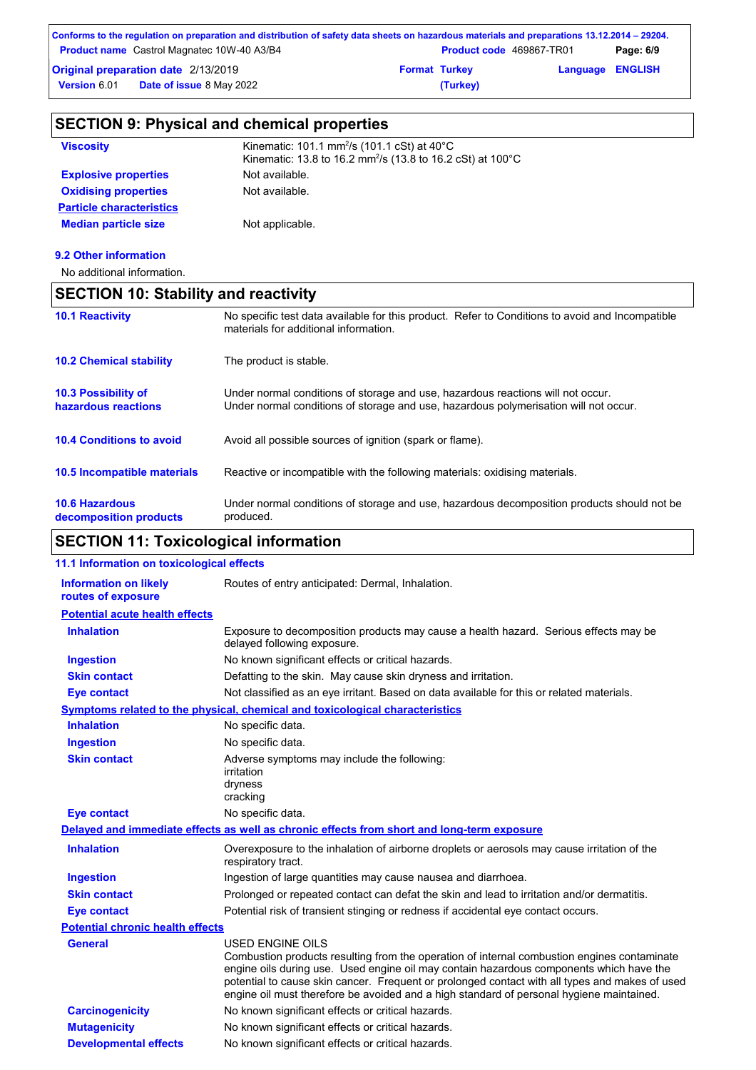| Conforms to the regulation on preparation and distribution of safety data sheets on hazardous materials and preparations 13.12.2014 – 29204. |                      |                                 |                         |           |
|----------------------------------------------------------------------------------------------------------------------------------------------|----------------------|---------------------------------|-------------------------|-----------|
| <b>Product name</b> Castrol Magnatec 10W-40 A3/B4                                                                                            |                      | <b>Product code</b> 469867-TR01 |                         | Page: 6/9 |
| Original preparation date 2/13/2019                                                                                                          | <b>Format Turkey</b> |                                 | <b>Language ENGLISH</b> |           |
| <b>Date of issue 8 May 2022</b><br><b>Version 6.01</b>                                                                                       |                      | (Turkey)                        |                         |           |

| <b>SECTION 9: Physical and chemical properties</b> |                                                                                                                                             |  |
|----------------------------------------------------|---------------------------------------------------------------------------------------------------------------------------------------------|--|
| <b>Viscosity</b>                                   | Kinematic: 101.1 mm <sup>2</sup> /s (101.1 cSt) at $40^{\circ}$ C<br>Kinematic: 13.8 to 16.2 mm <sup>2</sup> /s (13.8 to 16.2 cSt) at 100°C |  |
| <b>Explosive properties</b>                        | Not available.                                                                                                                              |  |
| <b>Oxidising properties</b>                        | Not available.                                                                                                                              |  |
| <b>Particle characteristics</b>                    |                                                                                                                                             |  |
| <b>Median particle size</b>                        | Not applicable.                                                                                                                             |  |
| 9.2 Other information                              |                                                                                                                                             |  |
| No additional information.                         |                                                                                                                                             |  |
| <b>SECTION 10: Stability and reactivity</b>        |                                                                                                                                             |  |
| <b>10.1 Reactivity</b>                             | No specific test data available for this product. Refer to Conditions to avoid and Incompatible<br>materials for additional information.    |  |

| <b>10.2 Chemical stability</b>                    | The product is stable.                                                                                                                                                  |
|---------------------------------------------------|-------------------------------------------------------------------------------------------------------------------------------------------------------------------------|
| <b>10.3 Possibility of</b><br>hazardous reactions | Under normal conditions of storage and use, hazardous reactions will not occur.<br>Under normal conditions of storage and use, hazardous polymerisation will not occur. |
| <b>10.4 Conditions to avoid</b>                   | Avoid all possible sources of ignition (spark or flame).                                                                                                                |
| 10.5 Incompatible materials                       | Reactive or incompatible with the following materials: oxidising materials.                                                                                             |
| <b>10.6 Hazardous</b><br>decomposition products   | Under normal conditions of storage and use, hazardous decomposition products should not be<br>produced.                                                                 |

# **SECTION 11: Toxicological information**

| 11.1 Information on toxicological effects          |                                                                                                                                                                                                                                                                                                                                                                                                                 |
|----------------------------------------------------|-----------------------------------------------------------------------------------------------------------------------------------------------------------------------------------------------------------------------------------------------------------------------------------------------------------------------------------------------------------------------------------------------------------------|
| <b>Information on likely</b><br>routes of exposure | Routes of entry anticipated: Dermal, Inhalation.                                                                                                                                                                                                                                                                                                                                                                |
| <b>Potential acute health effects</b>              |                                                                                                                                                                                                                                                                                                                                                                                                                 |
| <b>Inhalation</b>                                  | Exposure to decomposition products may cause a health hazard. Serious effects may be<br>delayed following exposure.                                                                                                                                                                                                                                                                                             |
| <b>Ingestion</b>                                   | No known significant effects or critical hazards.                                                                                                                                                                                                                                                                                                                                                               |
| <b>Skin contact</b>                                | Defatting to the skin. May cause skin dryness and irritation.                                                                                                                                                                                                                                                                                                                                                   |
| <b>Eye contact</b>                                 | Not classified as an eye irritant. Based on data available for this or related materials.                                                                                                                                                                                                                                                                                                                       |
|                                                    | Symptoms related to the physical, chemical and toxicological characteristics                                                                                                                                                                                                                                                                                                                                    |
| <b>Inhalation</b>                                  | No specific data.                                                                                                                                                                                                                                                                                                                                                                                               |
| <b>Ingestion</b>                                   | No specific data.                                                                                                                                                                                                                                                                                                                                                                                               |
| <b>Skin contact</b>                                | Adverse symptoms may include the following:<br>irritation<br>dryness<br>cracking                                                                                                                                                                                                                                                                                                                                |
| <b>Eye contact</b>                                 | No specific data.                                                                                                                                                                                                                                                                                                                                                                                               |
|                                                    | Delayed and immediate effects as well as chronic effects from short and long-term exposure                                                                                                                                                                                                                                                                                                                      |
| <b>Inhalation</b>                                  | Overexposure to the inhalation of airborne droplets or aerosols may cause irritation of the<br>respiratory tract.                                                                                                                                                                                                                                                                                               |
| <b>Ingestion</b>                                   | Ingestion of large quantities may cause nausea and diarrhoea.                                                                                                                                                                                                                                                                                                                                                   |
| <b>Skin contact</b>                                | Prolonged or repeated contact can defat the skin and lead to irritation and/or dermatitis.                                                                                                                                                                                                                                                                                                                      |
| <b>Eye contact</b>                                 | Potential risk of transient stinging or redness if accidental eye contact occurs.                                                                                                                                                                                                                                                                                                                               |
| <b>Potential chronic health effects</b>            |                                                                                                                                                                                                                                                                                                                                                                                                                 |
| <b>General</b>                                     | <b>USED ENGINE OILS</b><br>Combustion products resulting from the operation of internal combustion engines contaminate<br>engine oils during use. Used engine oil may contain hazardous components which have the<br>potential to cause skin cancer. Frequent or prolonged contact with all types and makes of used<br>engine oil must therefore be avoided and a high standard of personal hygiene maintained. |
| <b>Carcinogenicity</b>                             | No known significant effects or critical hazards.                                                                                                                                                                                                                                                                                                                                                               |
| <b>Mutagenicity</b>                                | No known significant effects or critical hazards.                                                                                                                                                                                                                                                                                                                                                               |
| <b>Developmental effects</b>                       | No known significant effects or critical hazards.                                                                                                                                                                                                                                                                                                                                                               |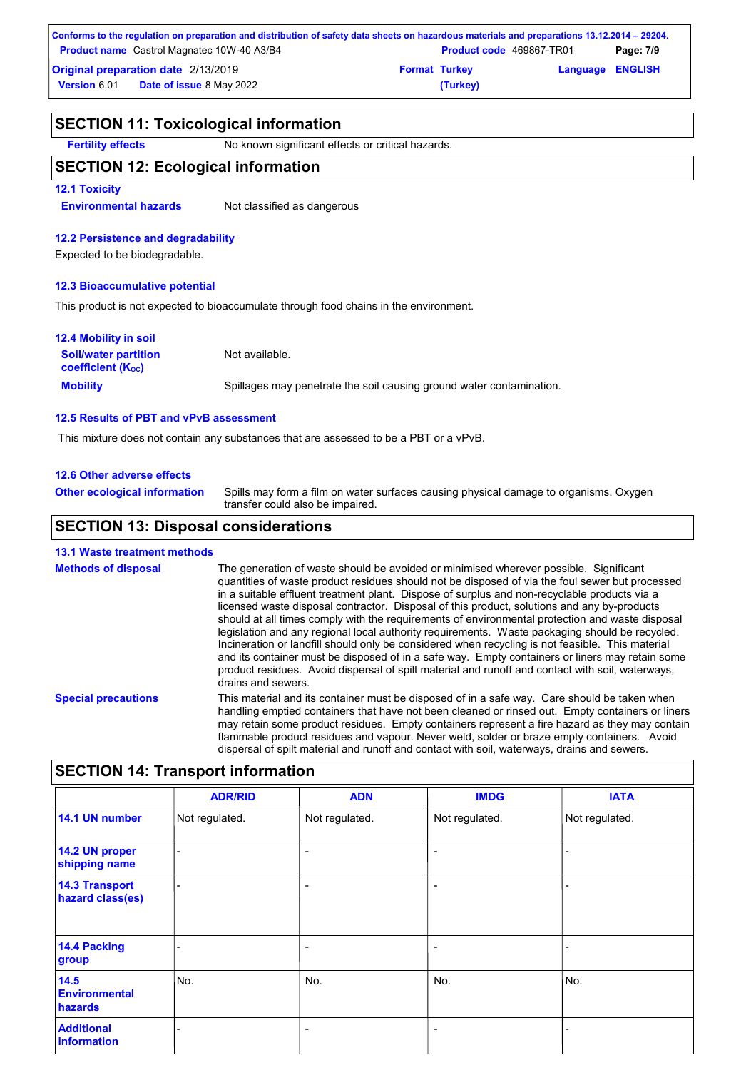| Conforms to the regulation on preparation and distribution of safety data sheets on hazardous materials and preparations 13.12.2014 – 29204. |                      |                                 |                         |           |
|----------------------------------------------------------------------------------------------------------------------------------------------|----------------------|---------------------------------|-------------------------|-----------|
| <b>Product name</b> Castrol Magnatec 10W-40 A3/B4                                                                                            |                      | <b>Product code</b> 469867-TR01 |                         | Page: 7/9 |
| <b>Original preparation date 2/13/2019</b>                                                                                                   | <b>Format Turkey</b> |                                 | <b>Language ENGLISH</b> |           |
| <b>Date of issue 8 May 2022</b><br><b>Version 6.01</b>                                                                                       |                      | (Turkey)                        |                         |           |

| <b>SECTION 11: Toxicological information</b>                                  |  |  |
|-------------------------------------------------------------------------------|--|--|
| No known significant effects or critical hazards.<br><b>Fertility effects</b> |  |  |
| <b>SECTION 12: Ecological information</b>                                     |  |  |
| <b>12.1 Toxicity</b>                                                          |  |  |

**Environmental hazards** Not classified as dangerous

### **12.2 Persistence and degradability**

Expected to be biodegradable.

### **12.3 Bioaccumulative potential**

This product is not expected to bioaccumulate through food chains in the environment.

| <b>12.4 Mobility in soil</b>                            |                                                                      |
|---------------------------------------------------------|----------------------------------------------------------------------|
| <b>Soil/water partition</b><br><b>coefficient (Koc)</b> | Not available.                                                       |
| <b>Mobility</b>                                         | Spillages may penetrate the soil causing ground water contamination. |

#### **12.5 Results of PBT and vPvB assessment**

This mixture does not contain any substances that are assessed to be a PBT or a vPvB.

### **12.6 Other adverse effects**

**Other ecological information**

Spills may form a film on water surfaces causing physical damage to organisms. Oxygen transfer could also be impaired.

## **SECTION 13: Disposal considerations**

### **13.1 Waste treatment methods**

| <b>Methods of disposal</b> | The generation of waste should be avoided or minimised wherever possible. Significant<br>quantities of waste product residues should not be disposed of via the foul sewer but processed<br>in a suitable effluent treatment plant. Dispose of surplus and non-recyclable products via a<br>licensed waste disposal contractor. Disposal of this product, solutions and any by-products<br>should at all times comply with the requirements of environmental protection and waste disposal<br>legislation and any regional local authority requirements. Waste packaging should be recycled.<br>Incineration or landfill should only be considered when recycling is not feasible. This material<br>and its container must be disposed of in a safe way. Empty containers or liners may retain some<br>product residues. Avoid dispersal of spilt material and runoff and contact with soil, waterways,<br>drains and sewers. |
|----------------------------|-------------------------------------------------------------------------------------------------------------------------------------------------------------------------------------------------------------------------------------------------------------------------------------------------------------------------------------------------------------------------------------------------------------------------------------------------------------------------------------------------------------------------------------------------------------------------------------------------------------------------------------------------------------------------------------------------------------------------------------------------------------------------------------------------------------------------------------------------------------------------------------------------------------------------------|
| <b>Special precautions</b> | This material and its container must be disposed of in a safe way. Care should be taken when<br>handling emptied containers that have not been cleaned or rinsed out. Empty containers or liners<br>may retain some product residues. Empty containers represent a fire hazard as they may contain<br>flammable product residues and vapour. Never weld, solder or braze empty containers. Avoid<br>dispersal of spilt material and runoff and contact with soil, waterways, drains and sewers.                                                                                                                                                                                                                                                                                                                                                                                                                               |

# **SECTION 14: Transport information**

|                                           | <b>ADR/RID</b> | <b>ADN</b>               | <b>IMDG</b>              | <b>IATA</b>    |
|-------------------------------------------|----------------|--------------------------|--------------------------|----------------|
| 14.1 UN number                            | Not regulated. | Not regulated.           | Not regulated.           | Not regulated. |
| 14.2 UN proper<br>shipping name           |                | ٠                        | $\overline{\phantom{0}}$ | -              |
| <b>14.3 Transport</b><br>hazard class(es) |                | $\overline{\phantom{a}}$ | $\overline{\phantom{a}}$ |                |
| 14.4 Packing<br>group                     |                | $\overline{\phantom{a}}$ | $\overline{\phantom{0}}$ |                |
| 14.5<br><b>Environmental</b><br>hazards   | No.            | No.                      | No.                      | No.            |
| <b>Additional</b><br>information          |                | ٠                        | $\overline{\phantom{a}}$ |                |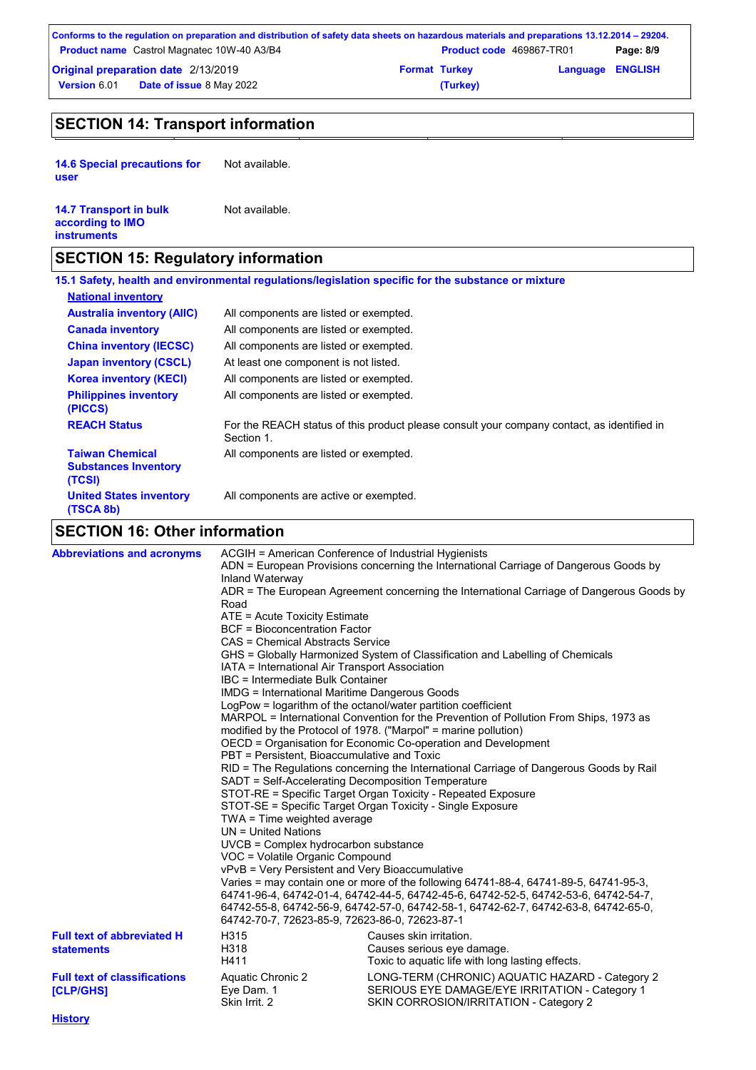| Conforms to the regulation on preparation and distribution of safety data sheets on hazardous materials and preparations 13.12.2014 – 29204. |                      |                                 |                         |           |
|----------------------------------------------------------------------------------------------------------------------------------------------|----------------------|---------------------------------|-------------------------|-----------|
| <b>Product name</b> Castrol Magnatec 10W-40 A3/B4                                                                                            |                      | <b>Product code</b> 469867-TR01 |                         | Page: 8/9 |
| <b>Original preparation date 2/13/2019</b>                                                                                                   | <b>Format Turkey</b> |                                 | <b>Language ENGLISH</b> |           |
| <b>Date of issue 8 May 2022</b><br><b>Version 6.01</b>                                                                                       |                      | (Turkey)                        |                         |           |

# **SECTION 14: Transport information**

**14.6 Special precautions for user** Not available.

| <b>14.7 Transport in bulk</b> | Not available. |
|-------------------------------|----------------|
| according to <b>IMO</b>       |                |
| <b>instruments</b>            |                |

# **SECTION 15: Regulatory information**

|                                                                 | 15.1 Safety, health and environmental regulations/legislation specific for the substance or mixture      |
|-----------------------------------------------------------------|----------------------------------------------------------------------------------------------------------|
| <b>National inventory</b>                                       |                                                                                                          |
| <b>Australia inventory (AIIC)</b>                               | All components are listed or exempted.                                                                   |
| <b>Canada inventory</b>                                         | All components are listed or exempted.                                                                   |
| <b>China inventory (IECSC)</b>                                  | All components are listed or exempted.                                                                   |
| <b>Japan inventory (CSCL)</b>                                   | At least one component is not listed.                                                                    |
| <b>Korea inventory (KECI)</b>                                   | All components are listed or exempted.                                                                   |
| <b>Philippines inventory</b><br>(PICCS)                         | All components are listed or exempted.                                                                   |
| <b>REACH Status</b>                                             | For the REACH status of this product please consult your company contact, as identified in<br>Section 1. |
| <b>Taiwan Chemical</b><br><b>Substances Inventory</b><br>(TCSI) | All components are listed or exempted.                                                                   |
| <b>United States inventory</b><br>(TSCA 8b)                     | All components are active or exempted.                                                                   |

# **SECTION 16: Other information**

| <b>Abbreviations and acronyms</b>                      | ACGIH = American Conference of Industrial Hygienists<br>Inland Waterway<br>Road<br>ATE = Acute Toxicity Estimate<br><b>BCF</b> = Bioconcentration Factor<br>CAS = Chemical Abstracts Service<br>IATA = International Air Transport Association<br>IBC = Intermediate Bulk Container<br><b>IMDG = International Maritime Dangerous Goods</b><br>PBT = Persistent, Bioaccumulative and Toxic<br>SADT = Self-Accelerating Decomposition Temperature<br>$TWA = Time$ weighted average<br>$UN = United Nations$<br>UVCB = Complex hydrocarbon substance<br>VOC = Volatile Organic Compound<br>vPvB = Very Persistent and Very Bioaccumulative<br>64742-70-7, 72623-85-9, 72623-86-0, 72623-87-1 | ADN = European Provisions concerning the International Carriage of Dangerous Goods by<br>ADR = The European Agreement concerning the International Carriage of Dangerous Goods by<br>GHS = Globally Harmonized System of Classification and Labelling of Chemicals<br>LogPow = logarithm of the octanol/water partition coefficient<br>MARPOL = International Convention for the Prevention of Pollution From Ships, 1973 as<br>modified by the Protocol of 1978. ("Marpol" = marine pollution)<br>OECD = Organisation for Economic Co-operation and Development<br>RID = The Regulations concerning the International Carriage of Dangerous Goods by Rail<br>STOT-RE = Specific Target Organ Toxicity - Repeated Exposure<br>STOT-SE = Specific Target Organ Toxicity - Single Exposure<br>Varies = may contain one or more of the following $64741-88-4$ , $64741-89-5$ , $64741-95-3$ ,<br>64741-96-4, 64742-01-4, 64742-44-5, 64742-45-6, 64742-52-5, 64742-53-6, 64742-54-7,<br>64742-55-8, 64742-56-9, 64742-57-0, 64742-58-1, 64742-62-7, 64742-63-8, 64742-65-0, |
|--------------------------------------------------------|--------------------------------------------------------------------------------------------------------------------------------------------------------------------------------------------------------------------------------------------------------------------------------------------------------------------------------------------------------------------------------------------------------------------------------------------------------------------------------------------------------------------------------------------------------------------------------------------------------------------------------------------------------------------------------------------|--------------------------------------------------------------------------------------------------------------------------------------------------------------------------------------------------------------------------------------------------------------------------------------------------------------------------------------------------------------------------------------------------------------------------------------------------------------------------------------------------------------------------------------------------------------------------------------------------------------------------------------------------------------------------------------------------------------------------------------------------------------------------------------------------------------------------------------------------------------------------------------------------------------------------------------------------------------------------------------------------------------------------------------------------------------------------|
| <b>Full text of abbreviated H</b><br><b>statements</b> | H315<br>H318<br>H411                                                                                                                                                                                                                                                                                                                                                                                                                                                                                                                                                                                                                                                                       | Causes skin irritation.<br>Causes serious eye damage.<br>Toxic to aquatic life with long lasting effects.                                                                                                                                                                                                                                                                                                                                                                                                                                                                                                                                                                                                                                                                                                                                                                                                                                                                                                                                                                |
| <b>Full text of classifications</b><br>[CLP/GHS]       | Aquatic Chronic 2<br>Eye Dam. 1<br>Skin Irrit. 2                                                                                                                                                                                                                                                                                                                                                                                                                                                                                                                                                                                                                                           | LONG-TERM (CHRONIC) AQUATIC HAZARD - Category 2<br>SERIOUS EYE DAMAGE/EYE IRRITATION - Category 1<br>SKIN CORROSION/IRRITATION - Category 2                                                                                                                                                                                                                                                                                                                                                                                                                                                                                                                                                                                                                                                                                                                                                                                                                                                                                                                              |